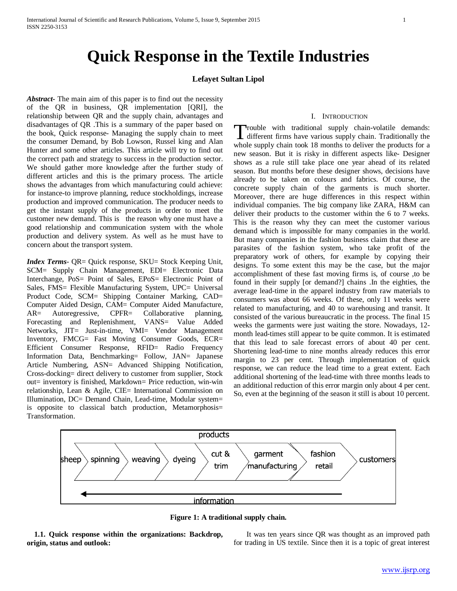# **Quick Response in the Textile Industries**

# **Lefayet Sultan Lipol**

*Abstract***-** The main aim of this paper is to find out the necessity of the QR in business, QR implementation [QRI], the relationship between QR and the supply chain, advantages and disadvantages of QR .This is a summary of the paper based on the book, Quick response- Managing the supply chain to meet the consumer Demand, by Bob Lowson, Russel king and Alan Hunter and some other articles. This article will try to find out the correct path and strategy to success in the production sector. We should gather more knowledge after the further study of different articles and this is the primary process. The article shows the advantages from which manufacturing could achieve: for instance-to improve planning, reduce stockholdings, increase production and improved communication. The producer needs to get the instant supply of the products in order to meet the customer new demand. This is the reason why one must have a good relationship and communication system with the whole production and delivery system. As well as he must have to concern about the transport system.

*Index Terms*- QR= Quick response, SKU= Stock Keeping Unit, SCM= Supply Chain Management, EDI= Electronic Data Interchange, PoS= Point of Sales, EPoS= Electronic Point of Sales, FMS= Flexible Manufacturing System, UPC= Universal Product Code, SCM= Shipping Container Marking, CAD= Computer Aided Design, CAM= Computer Aided Manufacture, AR= Autoregressive, CPFR= Collaborative planning, Forecasting and Replenishment, VANS= Value Added Networks, JIT= Just-in-time, VMI= Vendor Management Inventory, FMCG= Fast Moving Consumer Goods, ECR= Efficient Consumer Response, RFID= Radio Frequency Information Data, Benchmarking= Follow, JAN= Japanese Article Numbering, ASN= Advanced Shipping Notification, Cross-docking= direct delivery to customer from supplier, Stock out= inventory is finished, Markdown= Price reduction, win-win relationship, Lean & Agile, CIE= International Commission on Illumination, DC= Demand Chain, Lead-time, Modular system= is opposite to classical batch production, Metamorphosis= Transformation.

# I. INTRODUCTION

rouble with traditional supply chain-volatile demands: Trouble with traditional supply chain-volatile demands:<br>different firms have various supply chain. Traditionally the whole supply chain took 18 months to deliver the products for a new season. But it is risky in different aspects like- Designer shows as a rule still take place one year ahead of its related season. But months before these designer shows, decisions have already to be taken on colours and fabrics. Of course, the concrete supply chain of the garments is much shorter. Moreover, there are huge differences in this respect within individual companies. The big company like ZARA, H&M can deliver their products to the customer within the 6 to 7 weeks. This is the reason why they can meet the customer various demand which is impossible for many companies in the world. But many companies in the fashion business claim that these are parasites of the fashion system, who take profit of the preparatory work of others, for example by copying their designs. To some extent this may be the case, but the major accomplishment of these fast moving firms is, of course ,to be found in their supply [or demand?] chains .In the eighties, the average lead-time in the apparel industry from raw materials to consumers was about 66 weeks. Of these, only 11 weeks were related to manufacturing, and 40 to warehousing and transit. It consisted of the various bureaucratic in the process. The final 15 weeks the garments were just waiting the store. Nowadays, 12 month lead-times still appear to be quite common. It is estimated that this lead to sale forecast errors of about 40 per cent. Shortening lead-time to nine months already reduces this error margin to 23 per cent. Through implementation of quick response, we can reduce the lead time to a great extent. Each additional shortening of the lead-time with three months leads to an additional reduction of this error margin only about 4 per cent. So, even at the beginning of the season it still is about 10 percent.





 **1.1. Quick response within the organizations: Backdrop, origin, status and outlook:** 

 It was ten years since QR was thought as an improved path for trading in US textile. Since then it is a topic of great interest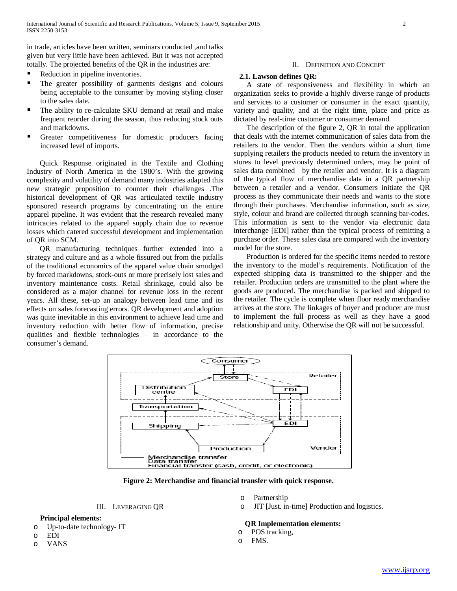in trade, articles have been written, seminars conducted ,and talks given but very little have been achieved. But it was not accepted totally. The projected benefits of the QR in the industries are:

- Reduction in pipeline inventories.
- The greater possibility of garments designs and colours being acceptable to the consumer by moving styling closer to the sales date.
- The ability to re-calculate SKU demand at retail and make frequent reorder during the season, thus reducing stock outs and markdowns.
- Greater competitiveness for domestic producers facing increased level of imports.

 Quick Response originated in the Textile and Clothing Industry of North America in the 1980's. With the growing complexity and volatility of demand many industries adapted this new strategic proposition to counter their challenges .The historical development of QR was articulated textile industry sponsored research programs by concentrating on the entire apparel pipeline. It was evident that the research revealed many intricacies related to the apparel supply chain due to revenue losses which catered successful development and implementation of QR into SCM.

 QR manufacturing techniques further extended into a strategy and culture and as a whole fissured out from the pitfalls of the traditional economics of the apparel value chain smudged by forced markdowns, stock-outs or more precisely lost sales and inventory maintenance costs. Retail shrinkage, could also be considered as a major channel for revenue loss in the recent years. All these, set-up an analogy between lead time and its effects on sales forecasting errors. QR development and adoption was quite inevitable in this environment to achieve lead time and inventory reduction with better flow of information, precise qualities and flexible technologies – in accordance to the consumer's demand.

# II. DEFINITION AND CONCEPT

## **2.1. Lawson defines QR:**

 A state of responsiveness and flexibility in which an organization seeks to provide a highly diverse range of products and services to a customer or consumer in the exact quantity, variety and quality, and at the right time, place and price as dictated by real-time customer or consumer demand.

 The description of the figure 2, QR in total the application that deals with the internet communication of sales data from the retailers to the vendor. Then the vendors within a short time supplying retailers the products needed to return the inventory in stores to level previously determined orders, may be point of sales data combined by the retailer and vendor. It is a diagram of the typical flow of merchandise data in a QR partnership between a retailer and a vendor. Consumers initiate the QR process as they communicate their needs and wants to the store through their purchases. Merchandise information, such as size, style, colour and brand are collected through scanning bar-codes. This information is sent to the vendor via electronic data interchange [EDI] rather than the typical process of remitting a purchase order. These sales data are compared with the inventory model for the store.

 Production is ordered for the specific items needed to restore the inventory to the model's requirements. Notification of the expected shipping data is transmitted to the shipper and the retailer. Production orders are transmitted to the plant where the goods are produced. The merchandise is packed and shipped to the retailer. The cycle is complete when floor ready merchandise arrives at the store. The linkages of buyer and producer are must to implement the full process as well as they have a good relationship and unity. Otherwise the QR will not be successful.



**Figure 2: Merchandise and financial transfer with quick response.**

## III. LEVERAGING QR

## **Principal elements:**

- o Up-to-date technology- IT
- o EDI
- o VANS

#### o Partnership

o JIT [Just. in-time] Production and logistics.

# **QR Implementation elements:**

- o POS tracking,
- o FMS.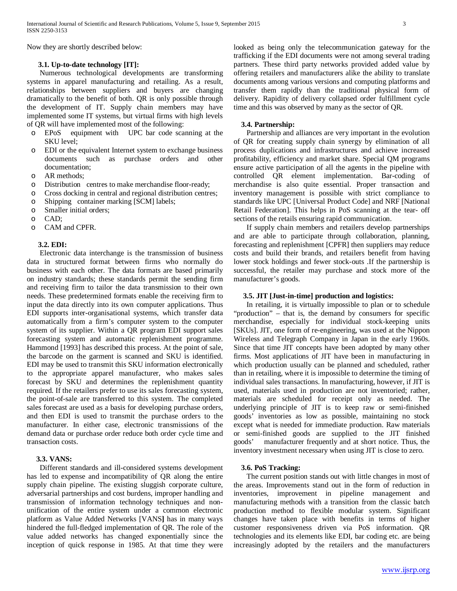Now they are shortly described below:

# **3.1. Up-to-date technology [IT]:**

 Numerous technological developments are transforming systems in apparel manufacturing and retailing. As a result, relationships between suppliers and buyers are changing dramatically to the benefit of both. QR is only possible through the development of IT. Supply chain members may have implemented some IT systems, but virtual firms with high levels of QR will have implemented most of the following:

- o EPoS equipment with UPC bar code scanning at the SKU level;
- o EDI or the equivalent Internet system to exchange business documents such as purchase orders and documentation;
- o AR methods;
- o Distribution centres to make merchandise floor-ready;
- o Cross docking in central and regional distribution centres;
- o Shipping container marking [SCM] labels;
- o Smaller initial orders;
- o CAD;
- o CAM and CPFR.

# **3.2. EDI:**

 Electronic data interchange is the transmission of business data in structured format between firms who normally do business with each other. The data formats are based primarily on industry standards; these standards permit the sending firm and receiving firm to tailor the data transmission to their own needs. These predetermined formats enable the receiving firm to input the data directly into its own computer applications. Thus EDI supports inter-organisational systems, which transfer data automatically from a firm's computer system to the computer system of its supplier. Within a QR program EDI support sales forecasting system and automatic replenishment programme. Hammond [1993] has described this process. At the point of sale, the barcode on the garment is scanned and SKU is identified. EDI may be used to transmit this SKU information electronically to the appropriate apparel manufacturer, who makes sales forecast by SKU and determines the replenishment quantity required. If the retailers prefer to use its sales forecasting system, the point-of-sale are transferred to this system. The completed sales forecast are used as a basis for developing purchase orders, and then EDI is used to transmit the purchase orders to the manufacturer. In either case, electronic transmissions of the demand data or purchase order reduce both order cycle time and transaction costs.

# **3.3. VANS:**

 Different standards and ill-considered systems development has led to expense and incompatibility of QR along the entire supply chain pipeline. The existing sluggish corporate culture, adversarial partnerships and cost burdens, improper handling and transmission of information technology techniques and nonunification of the entire system under a common electronic platform as Value Added Networks [VANS**]** has in many ways hindered the full-fledged implementation of QR. The role of the value added networks has changed exponentially since the inception of quick response in 1985. At that time they were looked as being only the telecommunication gateway for the trafficking if the EDI documents were not among several trading partners. These third party networks provided added value by offering retailers and manufacturers alike the ability to translate documents among various versions and computing platforms and transfer them rapidly than the traditional physical form of delivery. Rapidity of delivery collapsed order fulfillment cycle time and this was observed by many as the sector of QR.

# **3.4. Partnership:**

 Partnership and alliances are very important in the evolution of QR for creating supply chain synergy by elimination of all process duplications and infrastructures and achieve increased profitability, efficiency and market share. Special QM programs ensure active participation of all the agents in the pipeline with controlled QR element implementation. Bar-coding of merchandise is also quite essential. Proper transaction and inventory management is possible with strict compliance to standards like UPC [Universal Product Code] and NRF [National Retail Federation]. This helps in PoS scanning at the tear- off sections of the retails ensuring rapid communication.

 If supply chain members and retailers develop partnerships and are able to participate through collaboration, planning, forecasting and replenishment [CPFR] then suppliers may reduce costs and build their brands, and retailers benefit from having lower stock holdings and fewer stock-outs .If the partnership is successful, the retailer may purchase and stock more of the manufacturer's goods.

### **3.5. JIT [Just-in-time] production and logistics:**

 In retailing, it is virtually impossible to plan or to schedule "production" – that is, the demand by consumers for specific merchandise, especially for individual stock-keeping units [SKUs]. JIT, one form of re-engineering, was used at the Nippon Wireless and Telegraph Company in Japan in the early 1960s. Since that time JIT concepts have been adopted by many other firms. Most applications of JIT have been in manufacturing in which production usually can be planned and scheduled, rather than in retailing, where it is impossible to determine the timing of individual sales transactions. In manufacturing, however, if JIT is used, materials used in production are not inventoried; rather, materials are scheduled for receipt only as needed. The underlying principle of JIT is to keep raw or semi-finished goods' inventories as low as possible, maintaining no stock except what is needed for immediate production. Raw materials or semi-finished goods are supplied to the JIT finished goods' manufacturer frequently and at short notice. Thus, the inventory investment necessary when using JIT is close to zero.

# **3.6. PoS Tracking:**

 The current position stands out with little changes in most of the areas. Improvements stand out in the form of reduction in inventories, improvement in pipeline management and manufacturing methods with a transition from the classic batch production method to flexible modular system. Significant changes have taken place with benefits in terms of higher customer responsiveness driven via PoS information. QR technologies and its elements like EDI, bar coding etc. are being increasingly adopted by the retailers and the manufacturers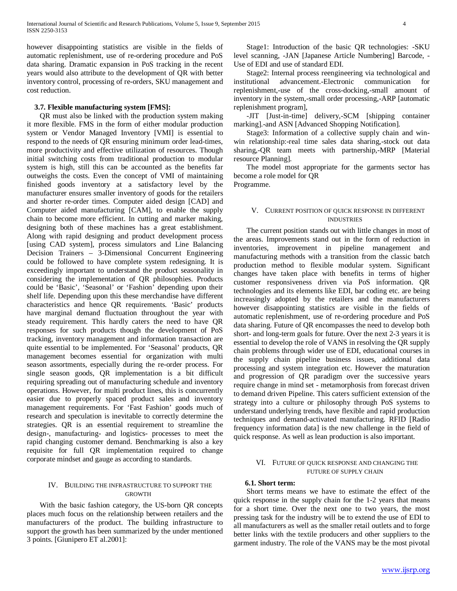however disappointing statistics are visible in the fields of automatic replenishment, use of re-ordering procedure and PoS data sharing. Dramatic expansion in PoS tracking in the recent years would also attribute to the development of QR with better inventory control, processing of re-orders, SKU management and cost reduction.

# **3.7. Flexible manufacturing system [FMS]:**

 QR must also be linked with the production system making it more flexible. FMS in the form of either modular production system or Vendor Managed Inventory [VMI] is essential to respond to the needs of QR ensuring minimum order lead-times, more productivity and effective utilization of resources. Though initial switching costs from traditional production to modular system is high, still this can be accounted as the benefits far outweighs the costs. Even the concept of VMI of maintaining finished goods inventory at a satisfactory level by the manufacturer ensures smaller inventory of goods for the retailers and shorter re-order times. Computer aided design [CAD] and Computer aided manufacturing [CAM], to enable the supply chain to become more efficient. In cutting and marker making, designing both of these machines has a great establishment. Along with rapid designing and product development process [using CAD system], process simulators and Line Balancing Decision Trainers – 3-Dimensional Concurrent Engineering could be followed to have complete system redesigning. It is exceedingly important to understand the product seasonality in considering the implementation of QR philosophies. Products could be 'Basic', 'Seasonal' or 'Fashion' depending upon their shelf life. Depending upon this these merchandise have different characteristics and hence QR requirements. 'Basic' products have marginal demand fluctuation throughout the year with steady requirement. This hardly caters the need to have QR responses for such products though the development of PoS tracking, inventory management and information transaction are quite essential to be implemented. For 'Seasonal' products, QR management becomes essential for organization with multi season assortments, especially during the re-order process. For single season goods, QR implementation is a bit difficult requiring spreading out of manufacturing schedule and inventory operations. However, for multi product lines, this is concurrently easier due to properly spaced product sales and inventory management requirements. For 'Fast Fashion' goods much of research and speculation is inevitable to correctly determine the strategies. QR is an essential requirement to streamline the design-, manufacturing- and logistics- processes to meet the rapid changing customer demand. Benchmarking is also a key requisite for full QR implementation required to change corporate mindset and gauge as according to standards.

# IV. BUILDING THE INFRASTRUCTURE TO SUPPORT THE GROWTH

 With the basic fashion category, the US-born QR concepts places much focus on the relationship between retailers and the manufacturers of the product. The building infrastructure to support the growth has been summarized by the under mentioned 3 points. [Giunipero ET al.2001]:

 Stage1: Introduction of the basic QR technologies: -SKU level scanning, -JAN [Japanese Article Numbering] Barcode, - Use of EDI and use of standard EDI.

 Stage2: Internal process reengineering via technological and institutional advancement.-Electronic communication for replenishment,-use of the cross-docking,-small amount of inventory in the system,-small order processing,-ARP [automatic replenishment program],

 -JIT [Just-in-time] delivery,-SCM [shipping container marking].-and ASN [Advanced Shopping Notification].

 Stage3: Information of a collective supply chain and winwin relationship:-real time sales data sharing,-stock out data sharing,-QR team meets with partnership,-MRP [Material resource Planning].

 The model most appropriate for the garments sector has become a role model for QR

Programme.

# V. CURRENT POSITION OF QUICK RESPONSE IN DIFFERENT INDUSTRIES

 The current position stands out with little changes in most of the areas. Improvements stand out in the form of reduction in inventories, improvement in pipeline management and manufacturing methods with a transition from the classic batch production method to flexible modular system. Significant changes have taken place with benefits in terms of higher customer responsiveness driven via PoS information. QR technologies and its elements like EDI, bar coding etc. are being increasingly adopted by the retailers and the manufacturers however disappointing statistics are visible in the fields of automatic replenishment, use of re-ordering procedure and PoS data sharing. Future of QR encompasses the need to develop both short- and long-term goals for future. Over the next 2-3 years it is essential to develop the role of VANS in resolving the QR supply chain problems through wider use of EDI, educational courses in the supply chain pipeline business issues, additional data processing and system integration etc. However the maturation and progression of QR paradigm over the successive years require change in mind set - metamorphosis from forecast driven to demand driven Pipeline. This caters sufficient extension of the strategy into a culture or philosophy through PoS systems to understand underlying trends, have flexible and rapid production techniques and demand-activated manufacturing. RFID [Radio frequency information data] is the new challenge in the field of quick response. As well as lean production is also important.

# VI. FUTURE OF QUICK RESPONSE AND CHANGING THE FUTURE OF SUPPLY CHAIN

# **6.1. Short term:**

 Short terms means we have to estimate the effect of the quick response in the supply chain for the 1-2 years that means for a short time. Over the next one to two years, the most pressing task for the industry will be to extend the use of EDI to all manufacturers as well as the smaller retail outlets and to forge better links with the textile producers and other suppliers to the garment industry. The role of the VANS may be the most pivotal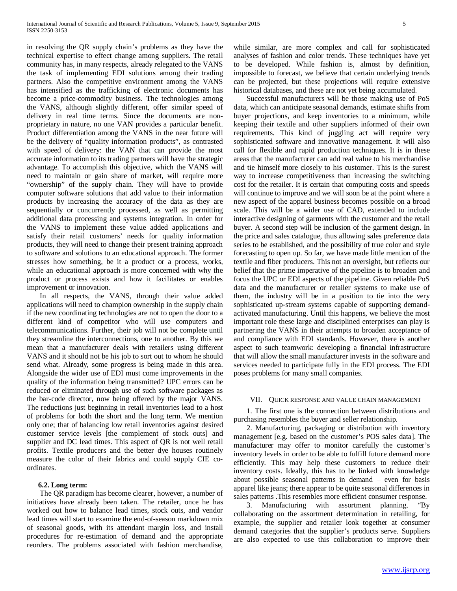in resolving the QR supply chain's problems as they have the technical expertise to effect change among suppliers. The retail community has, in many respects, already relegated to the VANS the task of implementing EDI solutions among their trading partners. Also the competitive environment among the VANS has intensified as the trafficking of electronic documents has become a price-commodity business. The technologies among the VANS, although slightly different, offer similar speed of delivery in real time terms. Since the documents are nonproprietary in nature, no one VAN provides a particular benefit. Product differentiation among the VANS in the near future will be the delivery of "quality information products", as contrasted with speed of delivery: the VAN that can provide the most accurate information to its trading partners will have the strategic advantage. To accomplish this objective, which the VANS will need to maintain or gain share of market, will require more "ownership" of the supply chain. They will have to provide computer software solutions that add value to their information products by increasing the accuracy of the data as they are sequentially or concurrently processed, as well as permitting additional data processing and systems integration. In order for the VANS to implement these value added applications and satisfy their retail customers' needs for quality information products, they will need to change their present training approach to software and solutions to an educational approach. The former stresses how something, be it a product or a process, works, while an educational approach is more concerned with why the product or process exists and how it facilitates or enables improvement or innovation.

 In all respects, the VANS, through their value added applications will need to champion ownership in the supply chain if the new coordinating technologies are not to open the door to a different kind of competitor who will use computers and telecommunications. Further, their job will not be complete until they streamline the interconnections, one to another. By this we mean that a manufacturer deals with retailers using different VANS and it should not be his job to sort out to whom he should send what. Already, some progress is being made in this area. Alongside the wider use of EDI must come improvements in the quality of the information being transmitted? UPC errors can be reduced or eliminated through use of such software packages as the bar-code director, now being offered by the major VANS. The reductions just beginning in retail inventories lead to a host of problems for both the short and the long term. We mention only one; that of balancing low retail inventories against desired customer service levels [the complement of stock outs] and supplier and DC lead times. This aspect of QR is not well retail profits. Textile producers and the better dye houses routinely measure the color of their fabrics and could supply CIE coordinates.

# **6.2. Long term:**

 The QR paradigm has become clearer, however, a number of initiatives have already been taken. The retailer, once he has worked out how to balance lead times, stock outs, and vendor lead times will start to examine the end-of-season markdown mix of seasonal goods, with its attendant margin loss, and install procedures for re-estimation of demand and the appropriate reorders. The problems associated with fashion merchandise,

while similar, are more complex and call for sophisticated analyses of fashion and color trends. These techniques have yet to be developed. While fashion is, almost by definition, impossible to forecast, we believe that certain underlying trends can be projected, but these projections will require extensive historical databases, and these are not yet being accumulated.

 Successful manufacturers will be those making use of PoS data, which can anticipate seasonal demands, estimate shifts from buyer projections, and keep inventories to a minimum, while keeping their textile and other suppliers informed of their own requirements. This kind of juggling act will require very sophisticated software and innovative management. It will also call for flexible and rapid production techniques. It is in these areas that the manufacturer can add real value to his merchandise and tie himself more closely to his customer. This is the surest way to increase competitiveness than increasing the switching cost for the retailer. It is certain that computing costs and speeds will continue to improve and we will soon be at the point where a new aspect of the apparel business becomes possible on a broad scale. This will be a wider use of CAD, extended to include interactive designing of garments with the customer and the retail buyer. A second step will be inclusion of the garment design. In the price and sales catalogue, thus allowing sales preference data series to be established, and the possibility of true color and style forecasting to open up. So far, we have made little mention of the textile and fiber producers. This not an oversight, but reflects our belief that the prime imperative of the pipeline is to broaden and focus the UPC or EDI aspects of the pipeline. Given reliable PoS data and the manufacturer or retailer systems to make use of them, the industry will be in a position to tie into the very sophisticated up-stream systems capable of supporting demandactivated manufacturing. Until this happens, we believe the most important role these large and disciplined enterprises can play is partnering the VANS in their attempts to broaden acceptance of and compliance with EDI standards. However, there is another aspect to such teamwork: developing a financial infrastructure that will allow the small manufacturer invests in the software and services needed to participate fully in the EDI process. The EDI poses problems for many small companies.

#### VII. QUICK RESPONSE AND VALUE CHAIN MANAGEMENT

 1. The first one is the connection between distributions and purchasing resembles the buyer and seller relationship.

 2. Manufacturing, packaging or distribution with inventory management [e.g. based on the customer's POS sales data]. The manufacturer may offer to monitor carefully the customer's inventory levels in order to be able to fulfill future demand more efficiently. This may help these customers to reduce their inventory costs. Ideally, this has to be linked with knowledge about possible seasonal patterns in demand – even for basis apparel like jeans; there appear to be quite seasonal differences in sales patterns .This resembles more efficient consumer response.

 3. Manufacturing with assortment planning. "By collaborating on the assortment determination in retailing, for example, the supplier and retailer look together at consumer demand categories that the supplier's products serve. Suppliers are also expected to use this collaboration to improve their